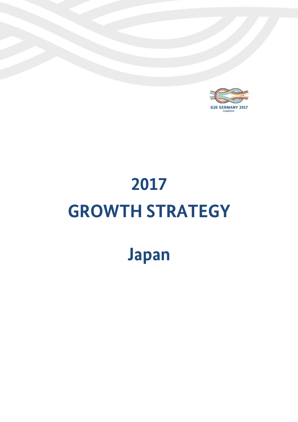

# **2017 GROWTH STRATEGY**

# **Japan**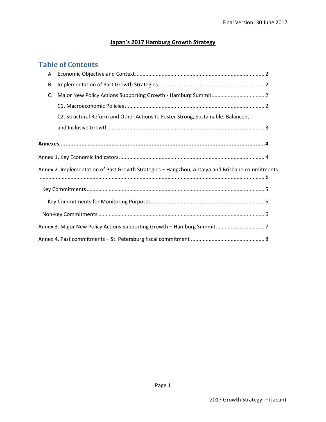#### **Japan's 2017 Hamburg Growth Strategy**

#### **Table of Contents**

| В. |                                                                                                |  |
|----|------------------------------------------------------------------------------------------------|--|
| C. |                                                                                                |  |
|    |                                                                                                |  |
|    | C2. Structural Reform and Other Actions to Foster Strong, Sustainable, Balanced,               |  |
|    |                                                                                                |  |
|    |                                                                                                |  |
|    |                                                                                                |  |
|    | Annex 2. Implementation of Past Growth Strategies - Hangzhou, Antalya and Brisbane commitments |  |
|    |                                                                                                |  |
|    |                                                                                                |  |
|    |                                                                                                |  |
|    |                                                                                                |  |
|    |                                                                                                |  |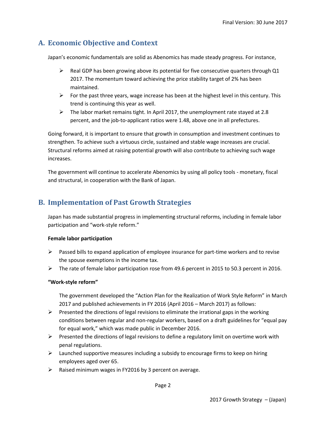## **A. Economic Objective and Context**

Japan's economic fundamentals are solid as Abenomics has made steady progress. For instance,

- $\triangleright$  Real GDP has been growing above its potential for five consecutive quarters through Q1 2017. The momentum toward achieving the price stability target of 2% has been maintained.
- $\triangleright$  For the past three years, wage increase has been at the highest level in this century. This trend is continuing this year as well.
- $\triangleright$  The labor market remains tight. In April 2017, the unemployment rate stayed at 2.8 percent, and the job-to-applicant ratios were 1.48, above one in all prefectures.

Going forward, it is important to ensure that growth in consumption and investment continues to strengthen. To achieve such a virtuous circle, sustained and stable wage increases are crucial. Structural reforms aimed at raising potential growth will also contribute to achieving such wage increases.

The government will continue to accelerate Abenomics by using all policy tools - monetary, fiscal and structural, in cooperation with the Bank of Japan.

## **B. Implementation of Past Growth Strategies**

Japan has made substantial progress in implementing structural reforms, including in female labor participation and "work-style reform."

#### **Female labor participation**

- $\triangleright$  Passed bills to expand application of employee insurance for part-time workers and to revise the spouse exemptions in the income tax.
- $\triangleright$  The rate of female labor participation rose from 49.6 percent in 2015 to 50.3 percent in 2016.

#### **"Work-style reform"**

The government developed the "Action Plan for the Realization of Work Style Reform" in March 2017 and published achievements in FY 2016 (April 2016 – March 2017) as follows:

- $\triangleright$  Presented the directions of legal revisions to eliminate the irrational gaps in the working conditions between regular and non-regular workers, based on a draft guidelines for "equal pay for equal work," which was made public in December 2016.
- $\triangleright$  Presented the directions of legal revisions to define a regulatory limit on overtime work with penal regulations.
- $\triangleright$  Launched supportive measures including a subsidy to encourage firms to keep on hiring employees aged over 65.
- $\triangleright$  Raised minimum wages in FY2016 by 3 percent on average.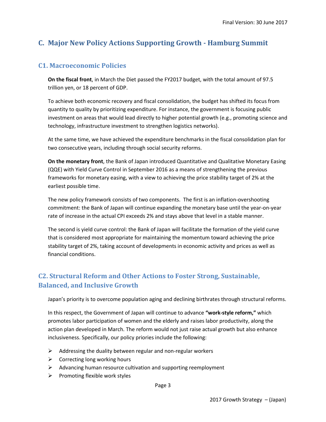## **C. Major New Policy Actions Supporting Growth - Hamburg Summit**

#### **C1. Macroeconomic Policies**

**On the fiscal front**, in March the Diet passed the FY2017 budget, with the total amount of 97.5 trillion yen, or 18 percent of GDP.

To achieve both economic recovery and fiscal consolidation, the budget has shifted its focus from quantity to quality by prioritizing expenditure. For instance, the government is focusing public investment on areas that would lead directly to higher potential growth (e.g., promoting science and technology, infrastructure investment to strengthen logistics networks).

At the same time, we have achieved the expenditure benchmarks in the fiscal consolidation plan for two consecutive years, including through social security reforms.

**On the monetary front**, the Bank of Japan introduced Quantitative and Qualitative Monetary Easing (QQE) with Yield Curve Control in September 2016 as a means of strengthening the previous frameworks for monetary easing, with a view to achieving the price stability target of 2% at the earliest possible time.

The new policy framework consists of two components. The first is an inflation-overshooting commitment: the Bank of Japan will continue expanding the monetary base until the year-on-year rate of increase in the actual CPI exceeds 2% and stays above that level in a stable manner.

The second is yield curve control: the Bank of Japan will facilitate the formation of the yield curve that is considered most appropriate for maintaining the momentum toward achieving the price stability target of 2%, taking account of developments in economic activity and prices as well as financial conditions.

#### **C2. Structural Reform and Other Actions to Foster Strong, Sustainable, Balanced, and Inclusive Growth**

Japan's priority is to overcome population aging and declining birthrates through structural reforms.

In this respect, the Government of Japan will continue to advance **"work-style reform,"** which promotes labor participation of women and the elderly and raises labor productivity, along the action plan developed in March. The reform would not just raise actual growth but also enhance inclusiveness. Specifically, our policy priories include the following:

- $\triangleright$  Addressing the duality between regular and non-regular workers
- $\triangleright$  Correcting long working hours
- $\triangleright$  Advancing human resource cultivation and supporting reemployment
- $\triangleright$  Promoting flexible work styles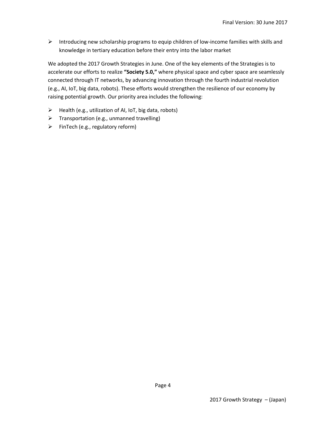$\triangleright$  Introducing new scholarship programs to equip children of low-income families with skills and knowledge in tertiary education before their entry into the labor market

We adopted the 2017 Growth Strategies in June. One of the key elements of the Strategies is to accelerate our efforts to realize **"Society 5.0,"** where physical space and cyber space are seamlessly connected through IT networks, by advancing innovation through the fourth industrial revolution (e.g., AI, IoT, big data, robots). These efforts would strengthen the resilience of our economy by raising potential growth. Our priority area includes the following:

- $\triangleright$  Health (e.g., utilization of AI, IoT, big data, robots)
- $\triangleright$  Transportation (e.g., unmanned travelling)
- $\triangleright$  FinTech (e.g., regulatory reform)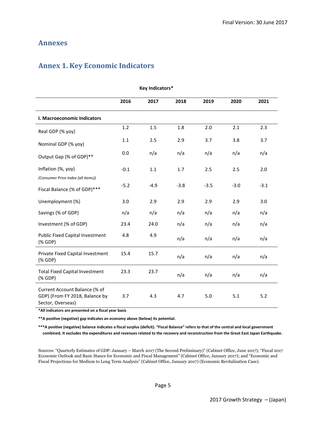#### **Annexes**

### **Annex 1. Key Economic Indicators**

| <b>Key Indicators*</b>                                                                               |        |        |        |        |        |        |  |
|------------------------------------------------------------------------------------------------------|--------|--------|--------|--------|--------|--------|--|
|                                                                                                      | 2016   | 2017   | 2018   | 2019   | 2020   | 2021   |  |
| I. Macroeconomic Indicators                                                                          |        |        |        |        |        |        |  |
| Real GDP (% yoy)                                                                                     | 1.2    | 1.5    | 1.8    | 2.0    | 2.1    | 2.3    |  |
| Nominal GDP (% yoy)                                                                                  | 1.1    | 2.5    | 2.9    | 3.7    | 3.8    | 3.7    |  |
| Output Gap (% of GDP)**                                                                              | 0.0    | n/a    | n/a    | n/a    | n/a    | n/a    |  |
| Inflation (%, yoy)                                                                                   | $-0.1$ | 1.1    | 1.7    | 2.5    | 2.5    | 2.0    |  |
| (Consumer Price Index (all items))<br>Fiscal Balance (% of GDP)***                                   | $-5.2$ | $-4.9$ | $-3.8$ | $-3.5$ | $-3.0$ | $-3.1$ |  |
| Unemployment (%)                                                                                     | 3.0    | 2.9    | 2.9    | 2.9    | 2.9    | 3.0    |  |
| Savings (% of GDP)                                                                                   | n/a    | n/a    | n/a    | n/a    | n/a    | n/a    |  |
| Investment (% of GDP)                                                                                | 23.4   | 24.0   | n/a    | n/a    | n/a    | n/a    |  |
| Public Fixed Capital Investment<br>$(%$ GDP)                                                         | 4.8    | 4.9    | n/a    | n/a    | n/a    | n/a    |  |
| Private Fixed Capital Investment<br>$(% \mathcal{L}_{0})$ (% GDP)                                    | 15.4   | 15.7   | n/a    | n/a    | n/a    | n/a    |  |
| <b>Total Fixed Capital Investment</b><br>$(% \mathcal{L}(\mathcal{L})\cap \mathcal{L}(\mathcal{L}))$ | 23.3   | 23.7   | n/a    | n/a    | n/a    | n/a    |  |
| Current Account Balance (% of<br>GDP) (From FY 2018, Balance by<br>Sector, Overseas)                 | 3.7    | 4.3    | 4.7    | 5.0    | 5.1    | 5.2    |  |

**\*All indicators are presented on a fiscal year basis**

**\*\*A positive (negative) gap indicates an economy above (below) its potential.**

**\*\*\*A positive (negative) balance indicates a fiscal surplus (deficit). "Fiscal Balance" refers to that of the central and local government combined. It excludes the expenditures and revenues related to the recovery and reconstruction from the Great East Japan Earthquake.**

Sources: "Quarterly Estimates of GDP: January – March 2017 (The Second Preliminary)" (Cabinet Office, June 2017); "Fiscal 2017 Economic Outlook and Basic Stance for Economic and Fiscal Management" (Cabinet Office, January 2017); and "Economic and Fiscal Projections for Medium to Long Term Analysis" (Cabinet Office, January 2017) (Economic Revitalization Case).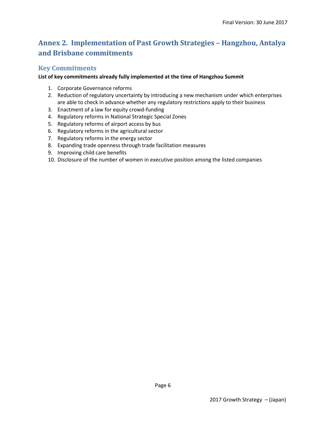# **Annex 2. Implementation of Past Growth Strategies – Hangzhou, Antalya and Brisbane commitments**

#### **Key Commitments**

#### **List of key commitments already fully implemented at the time of Hangzhou Summit**

- 1. Corporate Governance reforms
- 2. Reduction of regulatory uncertainty by introducing a new mechanism under which enterprises are able to check in advance whether any regulatory restrictions apply to their business
- 3. Enactment of a law for equity crowd-funding
- 4. Regulatory reforms in National Strategic Special Zones
- 5. Regulatory reforms of airport access by bus
- 6. Regulatory reforms in the agricultural sector
- 7. Regulatory reforms in the energy sector
- 8. Expanding trade openness through trade facilitation measures
- 9. Improving child care benefits
- 10. Disclosure of the number of women in executive position among the listed companies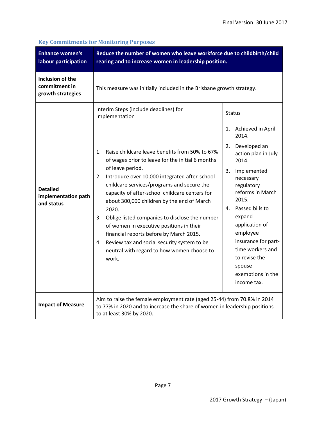| <b>Enhance women's</b><br>labour participation         | Reduce the number of women who leave workforce due to childbirth/child<br>rearing and to increase women in leadership position.                                                                                                                                                                                                                                                                                                                                                                                                                                                                                                                                  |                                                                                                                                                                                                                                                                                                                                                                 |  |  |  |
|--------------------------------------------------------|------------------------------------------------------------------------------------------------------------------------------------------------------------------------------------------------------------------------------------------------------------------------------------------------------------------------------------------------------------------------------------------------------------------------------------------------------------------------------------------------------------------------------------------------------------------------------------------------------------------------------------------------------------------|-----------------------------------------------------------------------------------------------------------------------------------------------------------------------------------------------------------------------------------------------------------------------------------------------------------------------------------------------------------------|--|--|--|
| Inclusion of the<br>commitment in<br>growth strategies | This measure was initially included in the Brisbane growth strategy.                                                                                                                                                                                                                                                                                                                                                                                                                                                                                                                                                                                             |                                                                                                                                                                                                                                                                                                                                                                 |  |  |  |
| <b>Detailed</b><br>implementation path<br>and status   | Interim Steps (include deadlines) for<br>Implementation<br>Raise childcare leave benefits from 50% to 67%<br>1.<br>of wages prior to leave for the initial 6 months<br>of leave period.<br>Introduce over 10,000 integrated after-school<br>2.<br>childcare services/programs and secure the<br>capacity of after-school childcare centers for<br>about 300,000 children by the end of March<br>2020.<br>Oblige listed companies to disclose the number<br>3.<br>of women in executive positions in their<br>financial reports before by March 2015.<br>Review tax and social security system to be<br>4.<br>neutral with regard to how women choose to<br>work. | <b>Status</b><br>Achieved in April<br>1.<br>2014.<br>Developed an<br>2.<br>action plan in July<br>2014.<br>3.<br>Implemented<br>necessary<br>regulatory<br>reforms in March<br>2015.<br>Passed bills to<br>4.<br>expand<br>application of<br>employee<br>insurance for part-<br>time workers and<br>to revise the<br>spouse<br>exemptions in the<br>income tax. |  |  |  |
| <b>Impact of Measure</b>                               | Aim to raise the female employment rate (aged 25-44) from 70.8% in 2014<br>to 77% in 2020 and to increase the share of women in leadership positions<br>to at least 30% by 2020.                                                                                                                                                                                                                                                                                                                                                                                                                                                                                 |                                                                                                                                                                                                                                                                                                                                                                 |  |  |  |

#### **Key Commitments for Monitoring Purposes**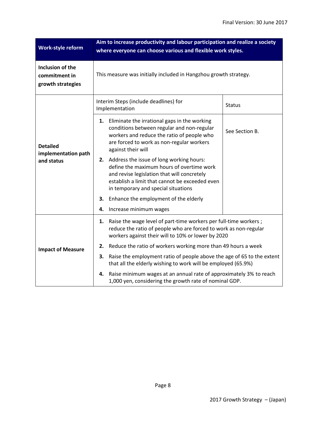| Work-style reform                                      | Aim to increase productivity and labour participation and realize a society<br>where everyone can choose various and flexible work styles.                                                                                          |                |  |  |  |
|--------------------------------------------------------|-------------------------------------------------------------------------------------------------------------------------------------------------------------------------------------------------------------------------------------|----------------|--|--|--|
| Inclusion of the<br>commitment in<br>growth strategies | This measure was initially included in Hangzhou growth strategy.                                                                                                                                                                    |                |  |  |  |
|                                                        | Interim Steps (include deadlines) for<br>Implementation                                                                                                                                                                             | <b>Status</b>  |  |  |  |
| <b>Detailed</b><br>implementation path                 | Eliminate the irrational gaps in the working<br>1.<br>conditions between regular and non-regular<br>workers and reduce the ratio of people who<br>are forced to work as non-regular workers<br>against their will                   | See Section B. |  |  |  |
| and status                                             | Address the issue of long working hours:<br>2.<br>define the maximum hours of overtime work<br>and revise legislation that will concretely<br>establish a limit that cannot be exceeded even<br>in temporary and special situations |                |  |  |  |
|                                                        | Enhance the employment of the elderly<br>3.                                                                                                                                                                                         |                |  |  |  |
|                                                        | Increase minimum wages<br>4.                                                                                                                                                                                                        |                |  |  |  |
|                                                        | Raise the wage level of part-time workers per full-time workers;<br>1.<br>reduce the ratio of people who are forced to work as non-regular<br>workers against their will to 10% or lower by 2020                                    |                |  |  |  |
| <b>Impact of Measure</b>                               | Reduce the ratio of workers working more than 49 hours a week<br>2.                                                                                                                                                                 |                |  |  |  |
|                                                        | Raise the employment ratio of people above the age of 65 to the extent<br>3.<br>that all the elderly wishing to work will be employed (65.9%)                                                                                       |                |  |  |  |
|                                                        | Raise minimum wages at an annual rate of approximately 3% to reach<br>4.<br>1,000 yen, considering the growth rate of nominal GDP.                                                                                                  |                |  |  |  |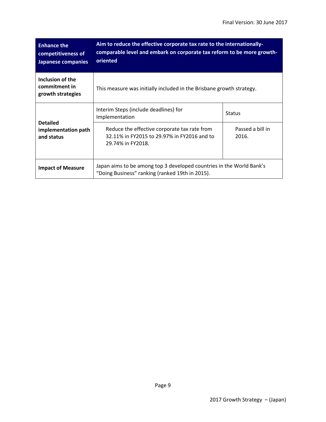| <b>Enhance the</b><br>competitiveness of<br>Japanese companies                                                                                      | Aim to reduce the effective corporate tax rate to the internationally-<br>comparable level and embark on corporate tax reform to be more growth-<br>oriented |                           |  |  |
|-----------------------------------------------------------------------------------------------------------------------------------------------------|--------------------------------------------------------------------------------------------------------------------------------------------------------------|---------------------------|--|--|
| Inclusion of the<br>commitment in<br>growth strategies                                                                                              | This measure was initially included in the Brisbane growth strategy.                                                                                         |                           |  |  |
|                                                                                                                                                     | Interim Steps (include deadlines) for<br>Implementation                                                                                                      | <b>Status</b>             |  |  |
| <b>Detailed</b><br>implementation path<br>and status                                                                                                | Reduce the effective corporate tax rate from<br>32.11% in FY2015 to 29.97% in FY2016 and to<br>29.74% in FY2018.                                             | Passed a bill in<br>2016. |  |  |
| Japan aims to be among top 3 developed countries in the World Bank's<br><b>Impact of Measure</b><br>"Doing Business" ranking (ranked 19th in 2015). |                                                                                                                                                              |                           |  |  |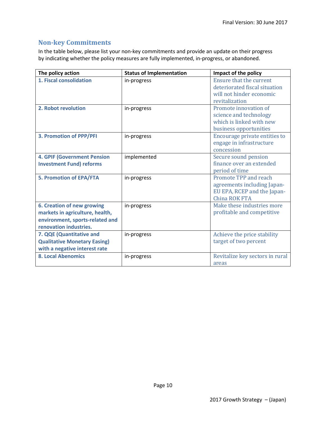#### **Non-key Commitments**

In the table below, please list your non-key commitments and provide an update on their progress by indicating whether the policy measures are fully implemented, in-progress, or abandoned.

| The policy action                                                                                                                 | <b>Status of Implementation</b> | Impact of the policy                                                                                          |
|-----------------------------------------------------------------------------------------------------------------------------------|---------------------------------|---------------------------------------------------------------------------------------------------------------|
| 1. Fiscal consolidation                                                                                                           | in-progress                     | <b>Ensure that the current</b><br>deteriorated fiscal situation<br>will not hinder economic<br>revitalization |
| 2. Robot revolution                                                                                                               | in-progress                     | Promote innovation of<br>science and technology<br>which is linked with new<br>business opportunities         |
| <b>3. Promotion of PPP/PFI</b>                                                                                                    | in-progress                     | Encourage private entities to<br>engage in infrastructure<br>concession                                       |
| <b>4. GPIF (Government Pension</b><br><b>Investment Fund) reforms</b>                                                             | implemented                     | Secure sound pension<br>finance over an extended<br>period of time                                            |
| <b>5. Promotion of EPA/FTA</b>                                                                                                    | in-progress                     | Promote TPP and reach<br>agreements including Japan-<br>EU EPA, RCEP and the Japan-<br>China ROK FTA          |
| <b>6. Creation of new growing</b><br>markets in agriculture, health,<br>environment, sports-related and<br>renovation industries. | in-progress                     | Make these industries more<br>profitable and competitive                                                      |
| 7. QQE (Quantitative and<br><b>Qualitative Monetary Easing)</b><br>with a negative interest rate                                  | in-progress                     | Achieve the price stability<br>target of two percent                                                          |
| <b>8. Local Abenomics</b>                                                                                                         | in-progress                     | Revitalize key sectors in rural<br>areas                                                                      |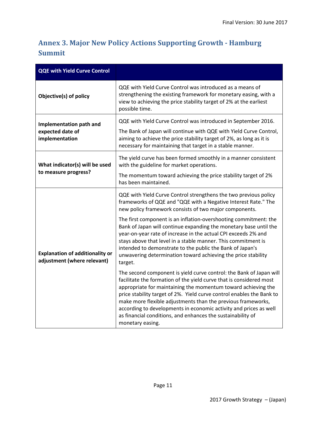# **Annex 3. Major New Policy Actions Supporting Growth - Hamburg Summit**

| <b>QQE with Yield Curve Control</b>                                   |                                                                                                                                                                                                                                                                                                                                                                                                                                                                                                                                                                                                                                                                                                                                                                                                                                                                                                                                                                                                                                                |
|-----------------------------------------------------------------------|------------------------------------------------------------------------------------------------------------------------------------------------------------------------------------------------------------------------------------------------------------------------------------------------------------------------------------------------------------------------------------------------------------------------------------------------------------------------------------------------------------------------------------------------------------------------------------------------------------------------------------------------------------------------------------------------------------------------------------------------------------------------------------------------------------------------------------------------------------------------------------------------------------------------------------------------------------------------------------------------------------------------------------------------|
| Objective(s) of policy                                                | QQE with Yield Curve Control was introduced as a means of<br>strengthening the existing framework for monetary easing, with a<br>view to achieving the price stability target of 2% at the earliest<br>possible time.                                                                                                                                                                                                                                                                                                                                                                                                                                                                                                                                                                                                                                                                                                                                                                                                                          |
| Implementation path and<br>expected date of<br>implementation         | QQE with Yield Curve Control was introduced in September 2016.<br>The Bank of Japan will continue with QQE with Yield Curve Control,<br>aiming to achieve the price stability target of 2%, as long as it is<br>necessary for maintaining that target in a stable manner.                                                                                                                                                                                                                                                                                                                                                                                                                                                                                                                                                                                                                                                                                                                                                                      |
| What indicator(s) will be used<br>to measure progress?                | The yield curve has been formed smoothly in a manner consistent<br>with the guideline for market operations.<br>The momentum toward achieving the price stability target of 2%<br>has been maintained.                                                                                                                                                                                                                                                                                                                                                                                                                                                                                                                                                                                                                                                                                                                                                                                                                                         |
| <b>Explanation of additionality or</b><br>adjustment (where relevant) | QQE with Yield Curve Control strengthens the two previous policy<br>frameworks of QQE and "QQE with a Negative Interest Rate." The<br>new policy framework consists of two major components.<br>The first component is an inflation-overshooting commitment: the<br>Bank of Japan will continue expanding the monetary base until the<br>year-on-year rate of increase in the actual CPI exceeds 2% and<br>stays above that level in a stable manner. This commitment is<br>intended to demonstrate to the public the Bank of Japan's<br>unwavering determination toward achieving the price stability<br>target.<br>The second component is yield curve control: the Bank of Japan will<br>facilitate the formation of the yield curve that is considered most<br>appropriate for maintaining the momentum toward achieving the<br>price stability target of 2%. Yield curve control enables the Bank to<br>make more flexible adjustments than the previous frameworks,<br>according to developments in economic activity and prices as well |
|                                                                       | as financial conditions, and enhances the sustainability of<br>monetary easing.                                                                                                                                                                                                                                                                                                                                                                                                                                                                                                                                                                                                                                                                                                                                                                                                                                                                                                                                                                |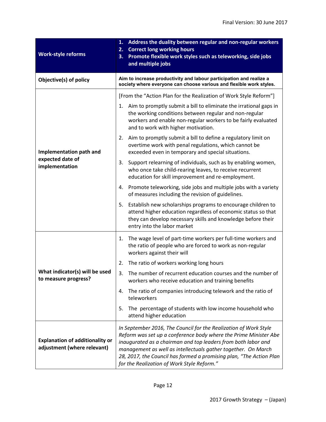| <b>Work-style reforms</b>                                             | Address the duality between regular and non-regular workers<br>1.<br><b>Correct long working hours</b><br>2.<br>Promote flexible work styles such as teleworking, side jobs<br>3.<br>and multiple jobs                                                                                                                                                                                      |
|-----------------------------------------------------------------------|---------------------------------------------------------------------------------------------------------------------------------------------------------------------------------------------------------------------------------------------------------------------------------------------------------------------------------------------------------------------------------------------|
| Objective(s) of policy                                                | Aim to increase productivity and labour participation and realize a<br>society where everyone can choose various and flexible work styles.                                                                                                                                                                                                                                                  |
|                                                                       | [From the "Action Plan for the Realization of Work Style Reform"]                                                                                                                                                                                                                                                                                                                           |
|                                                                       | Aim to promptly submit a bill to eliminate the irrational gaps in<br>1.<br>the working conditions between regular and non-regular<br>workers and enable non-regular workers to be fairly evaluated<br>and to work with higher motivation.                                                                                                                                                   |
| Implementation path and                                               | Aim to promptly submit a bill to define a regulatory limit on<br>2.<br>overtime work with penal regulations, which cannot be<br>exceeded even in temporary and special situations.                                                                                                                                                                                                          |
| expected date of<br>implementation                                    | Support relearning of individuals, such as by enabling women,<br>3.<br>who once take child-rearing leaves, to receive recurrent<br>education for skill improvement and re-employment.                                                                                                                                                                                                       |
|                                                                       | Promote teleworking, side jobs and multiple jobs with a variety<br>4.<br>of measures including the revision of guidelines.                                                                                                                                                                                                                                                                  |
|                                                                       | Establish new scholarships programs to encourage children to<br>5.<br>attend higher education regardless of economic status so that<br>they can develop necessary skills and knowledge before their<br>entry into the labor market                                                                                                                                                          |
|                                                                       | The wage level of part-time workers per full-time workers and<br>1.<br>the ratio of people who are forced to work as non-regular<br>workers against their will                                                                                                                                                                                                                              |
|                                                                       | The ratio of workers working long hours<br>2.                                                                                                                                                                                                                                                                                                                                               |
| What indicator(s) will be used<br>to measure progress?                | The number of recurrent education courses and the number of<br>3.<br>workers who receive education and training benefits                                                                                                                                                                                                                                                                    |
|                                                                       | The ratio of companies introducing telework and the ratio of<br>4.<br>teleworkers                                                                                                                                                                                                                                                                                                           |
|                                                                       | The percentage of students with low income household who<br>5.<br>attend higher education                                                                                                                                                                                                                                                                                                   |
| <b>Explanation of additionality or</b><br>adjustment (where relevant) | In September 2016, The Council for the Realization of Work Style<br>Reform was set up a conference body where the Prime Minister Abe<br>inaugurated as a chairman and top leaders from both labor and<br>management as well as intellectuals gather together. On March<br>28, 2017, the Council has formed a promising plan, "The Action Plan<br>for the Realization of Work Style Reform." |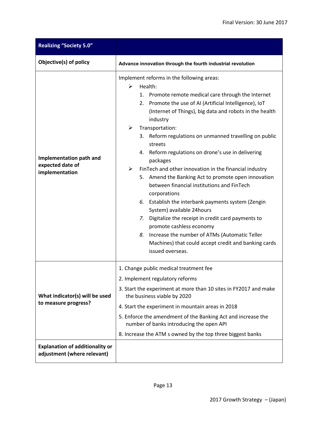| <b>Realizing "Society 5.0"</b>                                        |                                                                                                                                                                                                                                                                                                                                                                                                                                                                                                                                                                                                                                                                                                                                                                                                                                                                                                                                   |  |  |  |
|-----------------------------------------------------------------------|-----------------------------------------------------------------------------------------------------------------------------------------------------------------------------------------------------------------------------------------------------------------------------------------------------------------------------------------------------------------------------------------------------------------------------------------------------------------------------------------------------------------------------------------------------------------------------------------------------------------------------------------------------------------------------------------------------------------------------------------------------------------------------------------------------------------------------------------------------------------------------------------------------------------------------------|--|--|--|
| Objective(s) of policy                                                | Advance innovation through the fourth industrial revolution                                                                                                                                                                                                                                                                                                                                                                                                                                                                                                                                                                                                                                                                                                                                                                                                                                                                       |  |  |  |
| Implementation path and<br>expected date of<br>implementation         | Implement reforms in the following areas:<br>Health:<br>≻<br>Promote remote medical care through the Internet<br>1.<br>Promote the use of AI (Artificial Intelligence), IoT<br>2.<br>(Internet of Things), big data and robots in the health<br>industry<br>Transportation:<br>➤<br>Reform regulations on unmanned travelling on public<br>3.<br>streets<br>Reform regulations on drone's use in delivering<br>4.<br>packages<br>FinTech and other innovation in the financial industry<br>➤<br>5. Amend the Banking Act to promote open innovation<br>between financial institutions and FinTech<br>corporations<br>Establish the interbank payments system (Zengin<br>6.<br>System) available 24hours<br>Digitalize the receipt in credit card payments to<br>7.<br>promote cashless economy<br>Increase the number of ATMs (Automatic Teller<br>8.<br>Machines) that could accept credit and banking cards<br>issued overseas. |  |  |  |
| What indicator(s) will be used<br>to measure progress?                | 1. Change public medical treatment fee<br>2. Implement regulatory reforms<br>3. Start the experiment at more than 10 sites in FY2017 and make<br>the business viable by 2020<br>4. Start the experiment in mountain areas in 2018<br>5. Enforce the amendment of the Banking Act and increase the<br>number of banks introducing the open API<br>8. Increase the ATM s owned by the top three biggest banks                                                                                                                                                                                                                                                                                                                                                                                                                                                                                                                       |  |  |  |
| <b>Explanation of additionality or</b><br>adjustment (where relevant) |                                                                                                                                                                                                                                                                                                                                                                                                                                                                                                                                                                                                                                                                                                                                                                                                                                                                                                                                   |  |  |  |